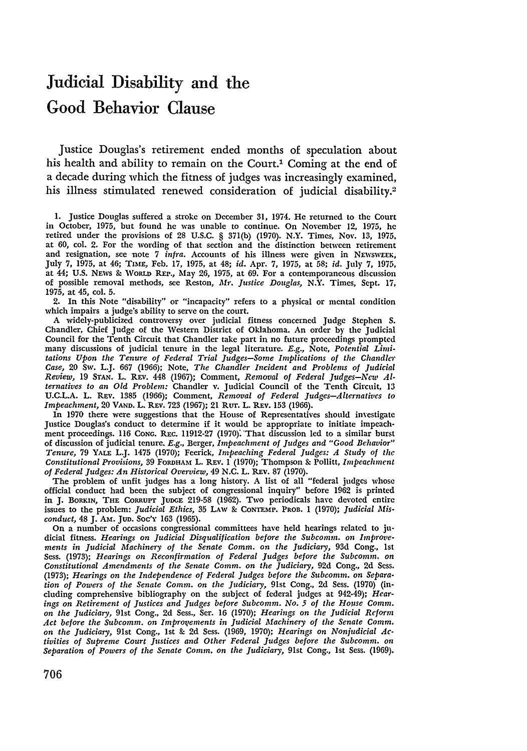# Judicial Disability and the Good Behavior Clause

Justice Douglas's retirement ended months of speculation about his health and ability to remain on the Court.<sup>1</sup> Coming at the end of a decade during which the fitness of judges was increasingly examined, his illness stimulated renewed consideration of judicial disability.<sup>2</sup>

2. In this Note "disability" or "incapacity" refers to a physical or mental condition which impairs a judge's ability to serve on the court.

A widely-publicized controversy over judicial fitness concerned Judge Stephen S. Chandler, Chief Judge of the Western District of Oklahoma. An order by the Judicial Council for the Tenth Circuit that Chandler take part in no future proceedings prompted many discussions of judicial tenure in the legal literature. *E.g.,* Note, *Potential Limitations Upon the Tenure of Federal Trial Judges-Some Implications of the* Chandler Case, 20 Sw. L.J. 667 (1966); Note, *The Chandler Incident and Problems of Judicial* Review, 19 STAN. L. REv. 448 (1967); Comment, *Removal of Federal Judges-New Alternatives to an Old Problem:* Chandler v. Judicial Council of the Tenth Circuit, 13 U.C.L.A. L. REv. 1385 (1966); Comment, *Removal of Federal Judges-Alternatives to Impeachment,* 20 VAND. L. REv. 723 (1967); 21 Rur. L. REv. 153 (1966).

In 1970 there were suggestions that the House of Representatives should investigate Justice Douglas's conduct to determine if it would be appropriate to initiate impeachment proceedings. 116 CONG. REc. 11912-27 (1970): 'That discussion led to a similar burst of discussion of judicial tenure. *E.g.,* Berger, *Impeachment of Judges and "Good Behavior" Tenure,* 79 YALE L.J. 1475 (1970); Feerick, *Impeaching Federal Judges: A Study of the* Constitutional Provisions, 39 FORDHAM L. REV. 1 (1970); Thompson & Pollitt, *Impeachment of Federal Judges: An Historical Overview,* 49 N.C. L. REv. 87 (1970).

The problem of unfit judges has a long history. A list of all "federal judges whose official conduct had been the subject of congressional inquiry" before 1962 is printed in J. BorkIN, THE CORRUPT JUDGE 219-58 (1962). Two periodicals have devoted entire issues to the problem: *Judicial Ethics,* 35 LAW & CONTEMP. PRoB. 1 (1970); *Judicial Misconduct,* 48 J. Am. Jun. *Soc'Y* 163 (1965).

On a number of occasions congressional committees have held hearings related to judicial fitness. *Hearings on Judicial Disqualification before the Subcomm. on Improvements in Judicial Machinery of the Senate Comm. on the Judiciary,* 93d Cong., 1st Sess. (1973); *Hearings on Reconfirmation of Federal Judges before the Subcomm. on Constitutional Amendments of the Senate Comm. on the Judiciary,* 92d Cong., 2d *Ses.* (1973); *Hearings on the Independence of Federal Judges before the Subcomm. on Separation of Powers of the Senate Comm. on the Judiciary,* 91st Cong., 2d Sess. (1970) (including comprehensive bibliography on the subject of federal judges at 942-49); *Hearings on Retirement of Justices and Judges before Subcomm. No. 5 of the House Comm. on the Judiciary,* 91st Cong., 2d Sess., Ser. 16 (1970); *Hearings on the Judicial Reform* Act before the Subcomm. on Improvements in Judicial Machinery of the Senate Comm. on the Judiciary, 91st Cong., 1st & 2d Sess. (1969, 1970); *Hearings on Nonjudicial Activities of Supreme Court Justices and Other Federal Judges before the Subcomm. on Separation of Powers of the Senate Comm. on the Judiciary,* 91st Cong., 1st Sess. (1969).

<sup>1.</sup> Justice Douglas suffered a stroke on December 31, 1974. He returned to the Court in October, 1975, but found he was unable to continue. On November 12, 1975, he retired under the provisions of 28 U.S.C. § 371(b) **(1970).** N.Y. Times, Nov. 13, 1975. at **60,** col. 2. For the wording of that section and the distinction between retirement and resignation, see note 7 *infra.* Accounts of his illness were given in NEWSWEEK, July 7, 1975, at 46; TIME, Feb. 17, 1975, at 48; *id.* Apr. 7, 1975, at 58; *id.* July 7, 1975, at 44; U.S. NEws **9-** WORLD REP., May 26, 1975, at 69. For a contemporaneous discussion of possible removal methods, see Reston, *Mr. Justice Douglas,* N.Y. Times, Sept. 17, 1975, at 45, col. 5.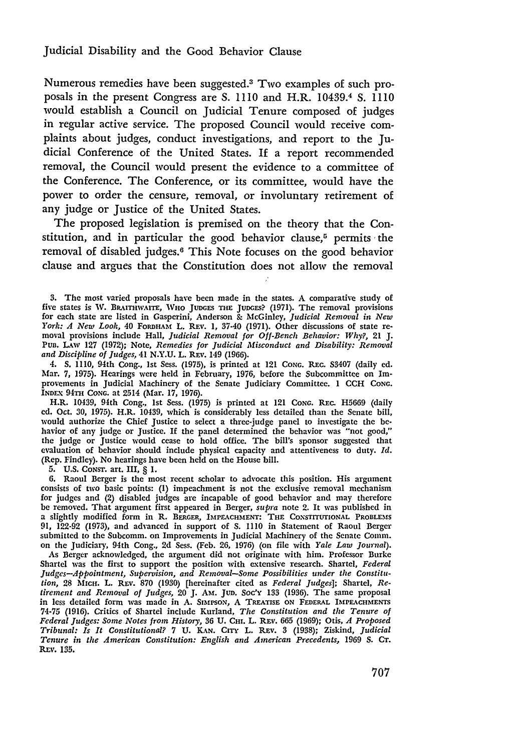Numerous remedies have been suggested.3 Two examples of such proposals in the present Congress are S. 1110 and H.R. 10439.<sup>4</sup> S. 1110 would establish a Council on Judicial Tenure composed of judges in regular active service. The proposed Council would receive complaints about judges, conduct investigations, and report to the Judicial Conference of the United States. If a report recommended removal, the Council would present the evidence to a committee of the Conference. The Conference, or its committee, would have the power to order the censure, removal, or involuntary retirement of any judge or Justice of the United States.

The proposed legislation is premised on the theory that the Constitution, and in particular the good behavior clause, $5$  permits the removal of disabled judges.6 This Note focuses on the good behavior clause and argues that the Constitution does not allow the removal

4. *S.* **1110,** 94th Cong., 1st Sess. (1975), is printed at 121 **CONC.** REc. S3407 (daily ed. Mar. *7,* 1975). Hearings were held in February, 1976, before the Subcommittee on Improvements in Judicial Machinery of the Senate Judiciary Committee. 1 **CCH CONG. INDEX 94TH CONG. at 2514 (Mar. 17, 1976).** 

H.R. 10439, 94th Cong., 1st Sess. (1975) is printed at 121 **CONG.** RE c. **H5669** (daily **ed.** Oct. 30, 1975). H.R. 10439, which is considerably less detailed than the Senate bill, would authorize the Chief Justice to select a three-judge panel to investigate the **be**havior of any **judge** or Justice. If the panel determined the behavior was "not good," the judge or Justice would cease to hold office. The bill's sponsor suggested that evaluation of behavior should include physical capacity and attentiveness to duty. *Id.* (Rep. Findley). No hearings have been held on the House bill.

**5.** U.S. CONST. art. III, § 1.

**6.** Raoul Berger is the most recent scholar to advocate this position. His argument consists of two basic points: **(1)** impeachment is not the exclusive removal mechanism for judges and (2) disabled judges are incapable of good behavior and may therefore be removed. That argument first appeared in Berger, *supra* note 2. It was published in a slightly modified form in R. **BERGER, IMPEACHMENT: THE** CONsTrrTIONAL **PROBLEMS 91,** 122-92 (1973), and advanced in support of **S. 1110** in Statement of Raoul Berger submitted to the Subcomm. on Improvements in Judicial Machinery of the Senate Comm. on the Judiciary, 94th Cong., 2d Sess. (Feb. **26,** 1976) (on file with *Yale Law Journal).*

As Berger acknowledged, the argument did not originate with him. Professor Burke Shartel was the first to support the position with extensive research. Shartel, *Federal Judges-Appointment, Supervision, and Removal-Some Possibilities under the Constitution,* **28** Micr. L. **REv.** 870 (1930) [hereinafter cited as *Federal Judges];* Shartel, *Retirement and Removal of Judges,* 20 **J. Am.** Jun. *Soc'y* 133 (1936). The same proposal in less detailed form was made in **A. SiMPsoN,** A TREATIsE **ON FEDERAL IMPEACHMENTS 74-75 (1916).** Critics of Shartel include Kurland, *The Constitution and the Tenure of Federal Judges: Some Notes from History,* **36 U. CHm.** L. REv. **665 (1969);** Otis, *A Proposed Tribunal: Is It Constitutional?* **7 U. KAN. Crry** L. REv. **3 (1938);** Ziskind, *Judicial Tenure in the American Constitution: English and American Precedents,* **1969 S. CT.** REV. 135.

<sup>3.</sup> The most varied proposals have been made in the states. A comparative study of five states is W. BRAITHWAITE, WHO JUDGES THE JUDGES? (1971). The removal provisions for each state are listed in Gasperini, Anderson **&** McGinley, *Judicial Removal in New York: A New Look,* 40 FoRDHAM L. REv. **1,** 37-40 (1971). Other discussions of state removal provisions include Hall, *Judicial Removal for Off-Bench Behavior: Why?,* 21 **J.** Pun. LAW **127** (1972); Note, *Remedies for Judicial Misconduct and Disability: Removal and Discipline of Judges,* 41 N.Y.U. L. REv. 149 (1966).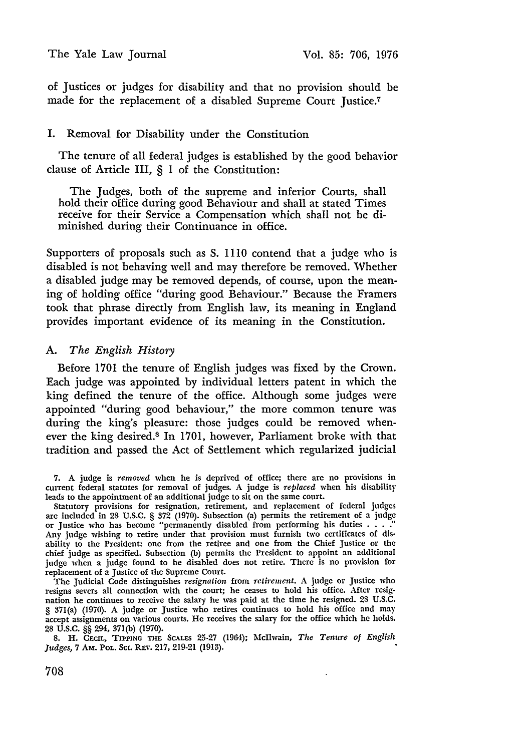of Justices or judges for disability and that no provision should be made for the replacement of a disabled Supreme Court Justice.<sup>7</sup>

# I. Removal for Disability under the Constitution

The tenure of all federal judges is established **by** the good behavior clause of Article III, **§ 1** of the Constitution:

The Judges, both of the supreme and inferior Courts, shall hold their office during good Behaviour and shall at stated Times receive for their Service a Compensation which shall not be diminished during their Continuance in office.

Supporters of proposals such as **S.** 1110 contend that a judge who is disabled is not behaving well and may therefore be removed. Whether a disabled judge may be removed depends, of course, upon the meaning of holding office "during good Behaviour." Because the Framers took that phrase directly from English law, its meaning in England provides important evidence of its meaning in the Constitution.

## *A. The English History*

Before 1701 the tenure of English judges was fixed by the Crown. Each judge was appointed by individual letters patent in which the king defined the tenure of the office. Although some judges were appointed "during good behaviour," the more common tenure was during the king's pleasure: those judges could be removed whenever the king desired.8 In 1701, however, Parliament broke with that tradition and passed the Act of Settlement which regularized judicial

**7.** A judge is *removed* when he is deprived of office; there are no provisions in current federal statutes for removal of judges. A judge is *replaced* when his disability leads to the appointment of an additional judge to sit on the same court.

Statutory provisions for resignation, retirement, and replacement of federal judges are included in 28 U.S.C. § 372 (1970). Subsection (a) permits the retirement of a judge or Justice who has become "permanently disabled from performing his duties **.... "** Any judge wishing to retire under that provision must furnish two certificates of disability to the President: one from the retiree and one from the Chief Justice or the chief judge as specified. Subsection (b) permits the President to appoint an additional judge when a judge found to be disabled does not retire. There is no provision for replacement of a Justice of the Supreme Court.

The Judicial Code distinguishes *resignation* from *retirement.* A judge or Justice who resigns severs all connection with the court; he ceases to hold his office. After resignation he continues to receive the salary he was paid at the time he resigned. 28 U.S.C. § 371(a) (1970). A judge or Justice who retires continues to hold his office and may accept assignments on various courts. He receives the salary for the office which he holds. 28 U.S.C. §§ 294, 371(b) (1970).

**8.** H. CECmL, **TIPPING THE** ScALEs 25-27 (1964); McIlwain, *The Tenure of English Judges, 7 AM. POL. Sci. REv. 217, 219-21 (1913).*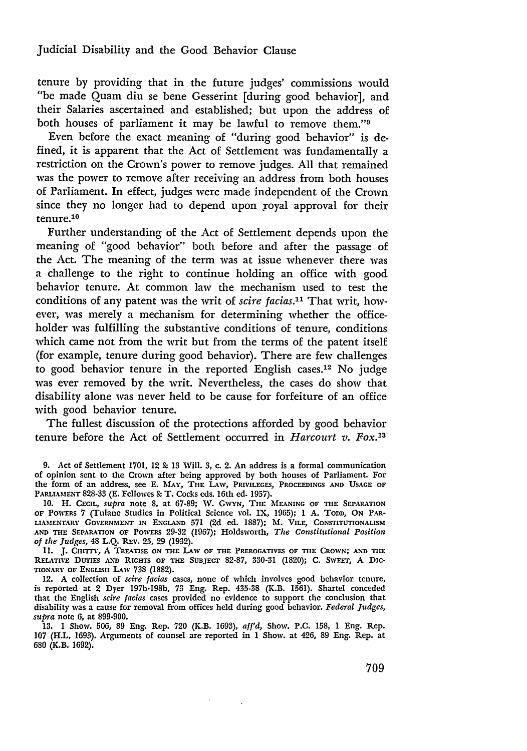tenure by providing that in the future judges' commissions would "be made Quam diu se bene Gesserint [during good behavior], and their Salaries ascertained and established; but upon the address of both houses of parliament it may be lawful to remove them."9

Even before the exact meaning of "during good behavior" is defined, it is apparent that the Act of Settlement was fundamentally a restriction on the Crown's power to remove judges. All that remained was the power to remove after receiving an address from both houses of Parliament. In effect, judges were made independent of the Crown since they no longer had to depend upon royal approval for their tenure.<sup>10</sup>

Further understanding of the Act of Settlement depends upon the meaning of "good behavior" both before and after the passage of the Act. The meaning of the term was at issue whenever there was a challenge to the right to continue holding an office with good behavior tenure. At common law the mechanism used to test the conditions of any patent was the writ of *scire facias.1* That writ, however, was merely a mechanism for determining whether the officeholder was fulfilling the substantive conditions of tenure, conditions which came not from the writ but from the terms of the patent itself (for example, tenure during good behavior). There are few challenges to good behavior tenure in the reported English cases.12 No judge was ever removed by the writ. Nevertheless, the cases do show that disability alone was never held to be cause for forfeiture of an office with good behavior tenure.

The fullest discussion of the protections afforded by good behavior tenure before the Act of Settlement occurred in *Harcourt v. Fox.1 3*

**11. J.** CHiTrY, **A** TREATISE **ON** THE LAW OF **THE** PREROGATIVES OF THE CROWN; **AND** THE RELATIVE **DUTIES** AND RIGHTS OF THE SUBJECr **82-87, 330-31** (1820); **C.** SWEET, A DIC-TIONARY OF **ENGLISH** LAW **738 (1882).**

12. A collection of *scire facias* cases, none of which involves good behavior tenure, is reported at 2 Dyer **197b-198b, 73** Eng. Rep. **435-38** (K.B. **1561).** Shartel conceded that the English *scire facias* cases provided no evidence to support the conclusion that disability was a cause for removal from offices held during good behavior. *Federal Judges, supra* note 6, at **899-900.**

**13. 1** Show. **506, 89** Eng. Rep. **720** (K.B. **1693),** *affd,* Show. **P.C. 158, 1** Eng. Rep. **107** (H.L. 1693). Arguments of counsel are reported in **1** Show. at 426, **89** Eng. Rep. at **680 (K.B. 1692).**

<sup>9.</sup> Act of Settlement 1701, 12 **&** 13 Will. 3, c. 2. An address is a formal communication of opinion sent to the Crown after being approved by both houses of Parliament. For the form of an address, see **E.** MAY, THE LAW, PRIVILEGES, PROCEEDINGS **AND** USAGE OF PARLL4,MENT 828-33 **(E.** Fellowes **&** T. Cocks eds. 16th **ed.** 1957).

<sup>10.</sup> H. CECIL, *supra* note 8, at 67-89; W. GWYN, THE MEANING OF THE SEPARATION OF PowERS 7 (Tulane Studies in Political Science vol. IX, 1965); 1 **A.** TODD, ON PAR-LIAMENTARY GOVERNMENT IN ENGLAND 571 (2d **ed.** 1887); **M.** VILE, CONSTITUTIONALISM **AND** THE SEPARATION OF PoWERs 29-32 (1967); Holdsworth, *The Constitutional Position of the Judges,* 48 L.Q. REv. **25, 29 (1932).**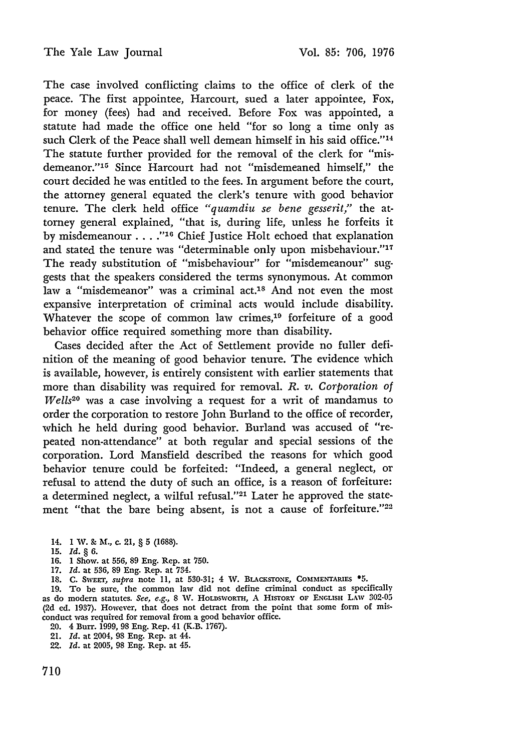The case involved conflicting claims to the office of clerk of the peace. The first appointee, Harcourt, sued a later appointee, Fox, for money (fees) had and received. Before Fox was appointed, a statute had made the office one held "for so long a time only as such Clerk of the Peace shall well demean himself in his said office."<sup>14</sup> The statute further provided for the removal of the clerk for "misdemeanor."'15 Since Harcourt had not "misdemeaned himself," the court decided he was entitled to the fees. In argument before the court, the attorney general equated the clerk's tenure with good behavior tenure. The clerk held office *"quamdiu se bene gesserit,"* the attorney general explained, "that is, during life, unless he forfeits it by misdemeanour . . . .<sup>"16</sup> Chief Justice Holt echoed that explanation and stated the tenure was "determinable only upon misbehaviour."<sup>17</sup> The ready substitution of "misbehaviour" for "misdemeanour" suggests that the speakers considered the terms synonymous. At common law a "misdemeanor" was a criminal act.<sup>18</sup> And not even the most expansive interpretation of criminal acts would include disability. Whatever the scope of common law crimes,<sup>19</sup> forfeiture of a good behavior office required something more than disability.

Cases decided after the Act of Settlement provide no fuller definition of the meaning of good behavior tenure. The evidence which is available, however, is entirely consistent with earlier statements that more than disability was required for removal. *R. v. Corporation of Wells20* was a case involving a request for a writ of mandamus to order the corporation to restore John Burland to the office of recorder, which he held during good behavior. Burland was accused of "repeated non-attendance" at both regular and special sessions of the corporation. Lord Mansfield described the reasons for which good behavior tenure could be forfeited: "Indeed, a general neglect, or refusal to attend the duty of such an office, is a reason of forfeiture: a determined neglect, a wilful refusal."<sup>21</sup> Later he approved the statement "that the bare being absent, is not a cause of forfeiture."<sup>22</sup>

- 14. **1** W. *&* M., c. 21, **§ 5 (1688).**
- **15.** *Id.* **§ 6.**
- 16. 1 Show. at 556, 89 Eng. Rep. at 750.
- 17. *Id.* at 536, 89 Eng. Rep. at 734.
- 18. C. SWEET, supra note 11, at 530-31; 4 W. **BLACESTONE, COMMENTARIES \*5.**

19. To be sure, the common law did not define criminal conduct as specifically as do modern statutes. See, e.g., 8 W. HOLDSWORTH, A HisTORY **OF ENGLISH** LAW 302-05 **(2d** ed. 1937). However, that does not detract from the point that some form of misconduct was required for removal from a good behavior office.

- 20. 4 Burr. 1999, 98 Eng. Rep. 41 (K.B. 1767).
- 21. *Id.* at 2004, 98 Eng. Rep. at 44.
- 22. *Id.* at 2005, 98 Eng. Rep. at 45.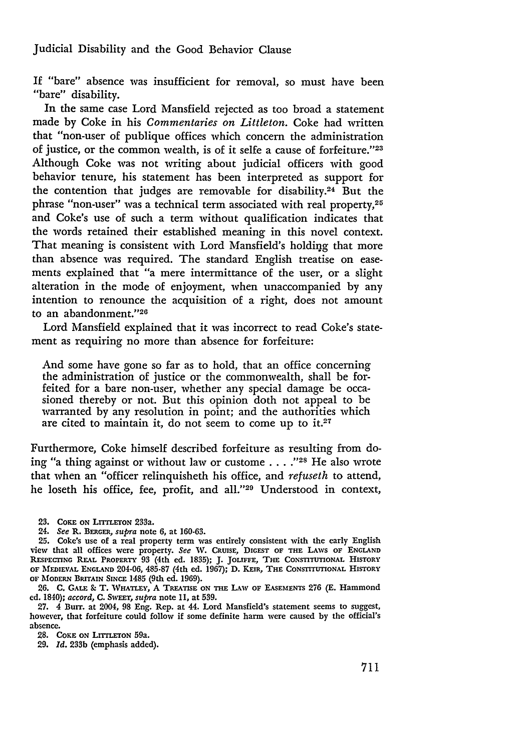Judicial Disability and the Good Behavior Clause

If "bare" absence was insufficient for removal, so must have been "bare" disability.

In the same case Lord Mansfield rejected as too broad a statement made by Coke in his *Commentaries on Littleton.* Coke had written that "non-user of publique offices which concern the administration of justice, or the common wealth, is of it selfe a cause of forfeiture."<sup>23</sup> Although Coke was not writing about judicial officers with good behavior tenure, his statement has been interpreted as support for the contention that judges are removable for disability.<sup>24</sup> But the phrase "non-user" was a technical term associated with real property,25 and Coke's use of such a term without qualification indicates that the words retained their established meaning in this novel context. That meaning is consistent with Lord Mansfield's holding that more than absence was required. The standard English treatise on easements explained that "a mere intermittance of the user, or a slight alteration in the mode of enjoyment, when unaccompanied by any intention to renounce the acquisition of a right, does not amount to an abandonment."<sup>26</sup>

Lord Mansfield explained that it was incorrect to read Coke's statement as requiring no more than absence for forfeiture:

And some have gone so far as to hold, that an office concerning the administration of justice or the commonwealth, shall be forfeited for a bare non-user, whether any special damage be occasioned thereby or not. But this opinion doth not appeal to be warranted by any resolution in point; and the authorities which are cited to maintain it, do not seem to come up to it.27

Furthermore, Coke himself described forfeiture as resulting from doing "a thing against or without law or custome **.... 2s** He also wrote that when an "officer relinquisheth his office, and *refuseth* to attend, he loseth his office, fee, profit, and all."<sup>29</sup> Understood in context,

24. *See* R. **BERGER,** *supra* note **6,** at **160-63.**

**26. C. GALE &** T. **WHATLEY, A TREATISE ON THE** LAW **OF EASEMENTS 276 (E.** Hammond **ed.** 1840); *accord,* **C.** SwsaT, *supra* note *11,* at **539.**

**27.** 4 Burr. at 2004, **98** Eng. Rep. at 44. Lord Mansfield's statement seems to suggest, however, that forfeiture could follow if some definite harm were caused **by** the official's absence.

**28.** COKE **ON** LrrrLETON 59a.

**29.** *Id.* **233b** (emphasis added).

<sup>23.</sup> COKE ON LITTLETON 233a.

**<sup>25.</sup>** Coke's use of a real property term was entirely consistent with the early English view that all offices were property. *See* W. **CRUIsE, DIGEST OF THE** LAws **OF ENGLAND RESPECING** REAL **PROPERTY** 93 (4th ed. 1835); J. **JOLIFFE, THE CONsnTIUONAL HISTORY OF MEDIEVAL ENGLAND** 204-06, **485-87** (4th ed. **1967); D. KEiR,** THE **CONSTITUTIONAL HISTORY OF MODERN BRITAIN** SINCE 1485 (9th ed. **1969).**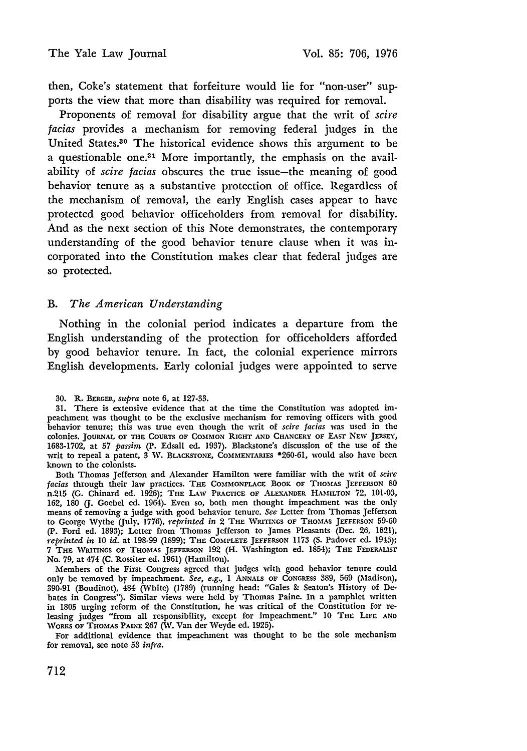then, Coke's statement that forfeiture would lie for "non-user" supports the view that more than disability was required for removal.

Proponents of removal for disability argue that the writ of *scire facias* provides a mechanism for removing federal judges in the United States.<sup>30</sup> The historical evidence shows this argument to be a questionable one.3' More importantly, the emphasis on the availability of *scire facias* obscures the true issue-the meaning of good behavior tenure as a substantive protection of office. Regardless of the mechanism of removal, the early English cases appear to have protected good behavior officeholders from removal for disability. And as the next section of this Note demonstrates, the contemporary understanding of the good behavior tenure clause when it was incorporated into the Constitution makes clear that federal judges are so protected.

# B. *The American Understanding*

Nothing in the colonial period indicates a departure from the English understanding of the protection for officeholders afforded by good behavior tenure. In fact, the colonial experience mirrors English developments. Early colonial judges were appointed to serve

Both Thomas Jefferson and Alexander Hamilton were familiar with the writ of *scire facias* through their law practices. THE **COMMONPLACE** BOOK **OF THOMAS JEFFERSON** 80 n.215 (G. Chinard ed. 1926); **THE** LAW PRACTICE OF ALEXANDER **HAMILTON** *72,* 101-03, 162, 180 (J. Goebel ed. 1964). Even so, both men thought impeachment was the only means of removing a judge with good behavior tenure. *See* Letter from Thomas Jefferson to George Wythe (July, 1776), *reprinted in* 2 **THE** WRITINGS **OF THOMAS JEFFERSON** 59-60 (P. Ford ed. 1893); Letter from Thomas Jefferson to James Pleasants (Dec. 26, 1821), *reprinted in* 10 *id.* at 198-99 (1899); THE COMPLETE **JEFFERsON** 1173 **(S.** Padover **ed.** 1943); 7 THE WRITINGS OF **THOMAS JEFFERSON** 192 (H. Washington ed. 1854); **THE FEDERALIST** No. **79,** at 474 (C. Rossiter ed. 1961) (Hamilton).

Members of the First Congress agreed that judges with good behavior tenure could only be removed by impeachment. *See, e.g.,* **I ANNALS** OF **CONGRESS** 389, 569 (Madison), 390-91 (Boudinot), 484 (White) (1789) (running head: "Gales **&** Seaton's History of Debates in Congress"). Similar views were held by Thomas Paine. In a pamphlet written in 1805 urging reform of the Constitution, he was critical of the Constitution for releasing judges "from all responsibility, except for impeachment." 10 THE LIFE ANI WORKS OF THOMAS **PAINE** 267 (W. Van der Weyde ed. 1925).

For additional evidence that impeachment was thought to be the sole mechanism for removal, see note **53** *infra.*

<sup>30.</sup> R. **BERGER,** *supra* note 6, at 127-33.

<sup>31.</sup> There is extensive evidence that at the time the Constitution was adopted impeachment was thought to be the exclusive mechanism for removing officers with good behavior tenure; this was true even though the writ of *scire facias* was used in the colonies. **JOURNAL OF THE COURTS OF COMMON RIGHT AND** CHANCERY **OF** EAST NEW JERSEY, 1683-1702, at 57 *passim* (P. Edsall ed. 1937). Blackstone's discussion of the use of the writ to repeal a patent, 3 W. BLACKSTONE, COMMENTARIES \*260-61, would also have been known to the colonists.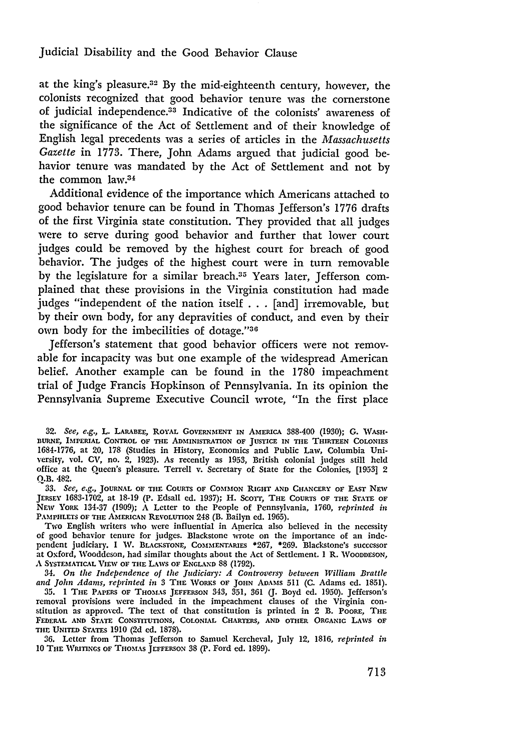at the king's pleasure.32 By the mid-eighteenth century, however, the colonists recognized that good behavior tenure was the cornerstone of judicial independence.33 Indicative of the colonists' awareness of the significance of the Act of Settlement and of their knowledge of English legal precedents was a series of articles in the *Massachusetts Gazette* in 1773. There, John Adams argued that judicial good behavior tenure was mandated by the Act of Settlement and not by the common law.<sup>34</sup>

Additional evidence of the importance which Americans attached to good behavior tenure can be found in Thomas Jefferson's 1776 drafts of the first Virginia state constitution. They provided that all judges were to serve during good behavior and further that lower court judges could be removed by the highest court for breach of good behavior. The judges of the highest court were in turn removable by the legislature for a similar breach.<sup>35</sup> Years later, Jefferson complained that these provisions in the Virginia constitution had made judges "independent of the nation itself . . **.** [and] irremovable, but by their own body, for any depravities of conduct, and even by their own body for the imbecilities of dotage."36

Jefferson's statement that good behavior officers were not removable for incapacity was but one example of the widespread American belief. Another example can be found in the 1780 impeachment trial of Judge Francis Hopkinson of Pennsylvania. In its opinion the Pennsylvania Supreme Executive Council wrote, "In the first place

**33.** *See, e.g.,* **JOURNAL OF** THE **COURTS** OF **COMMON RIGHT AND CHANCERY OF EAST NEW** JERSEY **1683-1702,** at **18-19** (P. Edsall **ed.** 1937); H. ScoTT, THE COURTS OF THE **STATE** OF **NEW YORK 134-37 (1909); A** Letter to the People of Pennsylvania, **1760,** *reprinted in* PAMPHLETS OF THE AMERICAN REVOLUTION 248 (B. Bailyn ed. 1965).

Two English writers who were influential in America also believed in the necessity **of good** behavior tenure for judges. Blackstone wrote on the importance of an **inde**pendent judiciary. **I W. BLACKSTONE, COMMENTARIES \*267, \*269.** Blackstone's successor at Oxford, Wooddeson, had similar thoughts about the Act of Settlement. **1** R. **WOODDESON,** A **SYSTEMATICAL VIEW OF THE** LAWS **OF ENGLAND 88** (1792).

*34. On the Independence of the Judiciary: A Controversy between William Brattle and John Adams, reprinted in* 3 **THE** WORKS **OF JOHN ADAMS** 511 (C. Adams ed. 1851).

**35. 1 THE** PAPERS **OF THOMIAS JEFFERSON** 343, 351, **361 (J.** Boyd **ed.** 1950). Jefferson's removal provisions were included in the impeachment clauses of the Virginia constitution as approved. The text of that constitution is printed in 2 B. POORE, THE **FEDERAL AND STATE CONSTITUTIONS, COLONIAL CHARTERS, AND OTHER ORGANIC LAWS OF THE UNITED STATES 1910 (2d ed. 1878).**

**36.** Letter from Thomas Jefferson to Samuel Kercheval, July 12, **1816,** *reprinted in* **10** THE **WRITINGS OF THOMAS JEFFERSON** 38 (P. Ford ed. 1899).

**<sup>32.</sup>** See, e.g., L. LARABEE ROYAL GOVERNMENT **IN AMERICA** 388-400 (1930); **G. WASH-BURNE,** IMPERIAL CONTROL OF **THE ADMINISTRATION OF JUSTICE IN TIIE THIRTEEN COLONIES 1684-1776,** at 20, 178 (Studies in History, Economics and Public Law, Columbia University, vol. **CV,** no. 2, 1923). As recently as **1953,** British colonial judges still **held** office at the Queen's pleasure. Terrell v. Secretary of State for the Colonies, [1953] 2 **Q.B.** 482.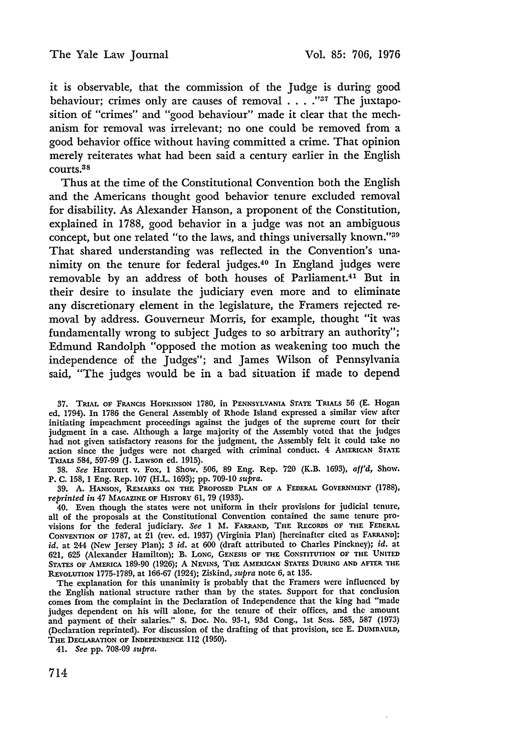it is observable, that the commission of the Judge is during good behaviour; crimes only are causes of removal . . . .<sup>137</sup> The juxtaposition of "crimes" and "good behaviour" made it clear that the mechanism for removal was irrelevant; no one could be removed from a good behavior office without having committed a crime. That opinion merely reiterates what had been said a century earlier in the English courts. 38

Thus at the time of the Constitutional Convention both the English and the Americans thought good behavior tenure excluded removal for disability. As Alexander Hanson, a proponent of the Constitution, explained in 1788, good behavior in a judge was not an ambiguous concept, but one related "to the laws, and things universally known."<sup>39</sup> That shared understanding was reflected in the Convention's unanimity on the tenure for federal judges.40 In England judges were removable by an address of both houses of Parliament.4' But in their desire to insulate the judiciary even more and to eliminate any discretionary element in the legislature, the Framers rejected removal by address. Gouverneur Morris, for example, thought "it was fundamentally wrong to subject Judges to so arbitrary an authority"; Edmund Randolph "opposed the motion as weakening too much the independence of the Judges"; and James Wilson of Pennsylvania said, "The judges would be in a bad situation if made to depend

**37.** TRIAL **OF** FRANCIS **HOPKINSON 1780,** in **PENNSYLVANIA STATE** TRIALS 56 **(E.** Hogan ed. 1794). In **1786** the General Assembly of Rhode Island expressed a similar view after initiating impeachment proceedings against the judges of the supreme court for their judgment in a case. Although a large majority of the Assembly voted that the judges had not given satisfactory reasons for the judgment, the Assembly felt it could take no action since the judges were not charged with criminal conduct. 4 **AMERICAN STATE** TRIALS 584, **597-99 (J.** Lawson ed. **1915).**

**38.** *See* Harcourt v. Fox, **1** Show. **506, 89** Eng. Rep. **720** (K.B. 1693), afj'd, Show. P. **C. 158, 1** Eng. Rep. **107** (H.L. **1693); pp. 709-10** *supra.*

**39. A. HANSON, REMARKS ON THE PROPOSED PLAN OF A** FEDERAL **GOVFRNMENT** (1788), *reprinted in* 47 **MAGAZINE OF HISTORY 61, 79 (1933).**

40. Even though the states were not uniform in their provisions for judicial tenure, all of the proposals at the Constitutional Convention contained the same tenure provisions for the federal judiciary. *See* **1 M. FARRAND,** THE **RECORDS OF THE FEDERAL CONVENTION OF 1787,** at 21 (rev. ed. **1937)** (Virginia Plan) [hereinafter cited as **FARRAND];** *id.* at 244 (New Jersey Plan); **3** *id.* at **600** (draft attributed to Charles Pinckney); *id.* at **621, 625** (Alexander Hamilton); B. LONG, **GENESIS OF THE CONSTITUTION OF THE UNITED** STATES **OF** AMERICA **189-90** (1926); **A** NEVINS, THE **AMERICAN** STATES **DURING AND AFrER THlE REVOLUTION 1775-1789,** at **166-67** (1924); Ziskind, *supra* note *6,* at **135.**

The explanation for this unanimity is probably that the Framers were influenced by the English national structure rather than by the states. Support for that conclusion comes from the complaint in the Declaration of Independence that the king had "made judges dependent on his will alone, for the tenure of their offices, and the amoun and payment of their salaries." **S.** Doc. No. **93-1, 93d** Cong., 1st **Sess. 585, 587** (1973) (Declaration reprinted). For discussion of the drafting of that provision, see E. DUMBAULD, THE **DECLARATION OF INDEPENDENCE** 112 **(1950).**

41. *See* **pp. 708-09** *supra.*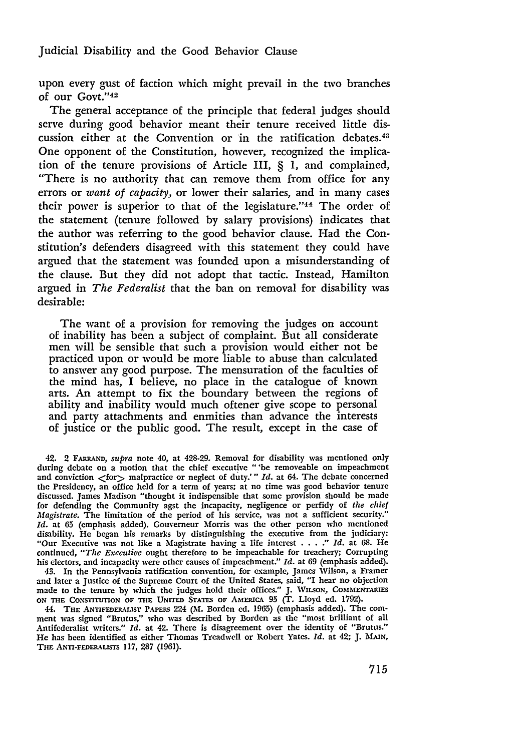upon every gust of faction which might prevail in the two branches of our Govt."<sup>42</sup>

The general acceptance of the principle that federal judges should serve during good behavior meant their tenure received little discussion either at the Convention or in the ratification debates.<sup>43</sup> One opponent of the Constitution, however, recognized the implication of the tenure provisions of Article III, § 1, and complained, "There is no authority that can remove them from office for any errors or *want of capacity,* or lower their salaries, and in many cases their power is superior to that of the legislature." $44$  The order of the statement (tenure followed by salary provisions) indicates that the author was referring to the good behavior clause. Had the Constitution's defenders disagreed with this statement they could have argued that the statement was founded upon a misunderstanding of the clause. But they did not adopt that tactic. Instead, Hamilton argued in *The Federalist* that the ban on removal for disability was desirable:

The want of a provision for removing the judges on account of inability has been a subject of complaint. But all considerate men will be sensible that such a provision would either not be practiced upon or would be more liable to abuse than calculated to answer any good purpose. The mensuration of the faculties of the mind has, I believe, no place in the catalogue of known arts. An attempt to fix the boundary between the regions of ability and inability would much oftener give scope to personal and party attachments and enmities than advance the interests of justice or the public good. The result, except in the case of

42. 2 **FARRND,** *supra* note **40,** at 428-29. Removal for disability was mentioned only during debate on a motion that the chief executive "'be removeable on impeachment and conviction  $<$  for  $>$  malpractice or neglect of duty.'" *Id.* at 64. The debate concerned the Presidency, an office held for a term of years; at no time was good behavior tenure discussed. James Madison "thought it indispensible that some provision should be made for defending the Community agst the incapacity, negligence or perfidy of *the chief Magistrate.* The limitation of the period of his service, was not a sufficient security." *Id.* at **65** (emphasis added). Gouverneur Morris was the other person who mentioned disability. **He** began his remarks **by** distinguishing the executive from the judiciary: "Our Executive was not like a Magistrate having a life interest .... *." Id.* at **68.** He continued, *"The Executive* ought therefore to **be** impeachable for treachery; Corrupting his electors, and incapacity were other causes of impeachment." *Id.* at **69** (emphasis added).

43. In the Pennsylania ratification convention, for example, James Wilson, a Framer and later a Justice of the Supreme Court of the United States, said, "I hear no objection made to the tenure **by** which the judges hold their offices." **J.** WILSoN, **COMMENTARIES ON THE** CONSTITUTION **OF THE UNITED STATES OF** AMERmCA **95** (T. Lloyd ed. 1792).

44. **THE ANTIFEDERALIST PAPERS** 224 **(M.** Borden ed. **1965)** (emphasis added). The comment was signed "Brutus," who was described by Borden as the "most brilliant of all Antifederalist writers." *Id.* at 42. There is disagreement over the identity of "Brutus." He has been identified as either Thomas Treadwell or Robert Yates. *Id.* at 42; **J. MAIN,** Tim ANTI-FEDERALISTS **117,** 287 (1961).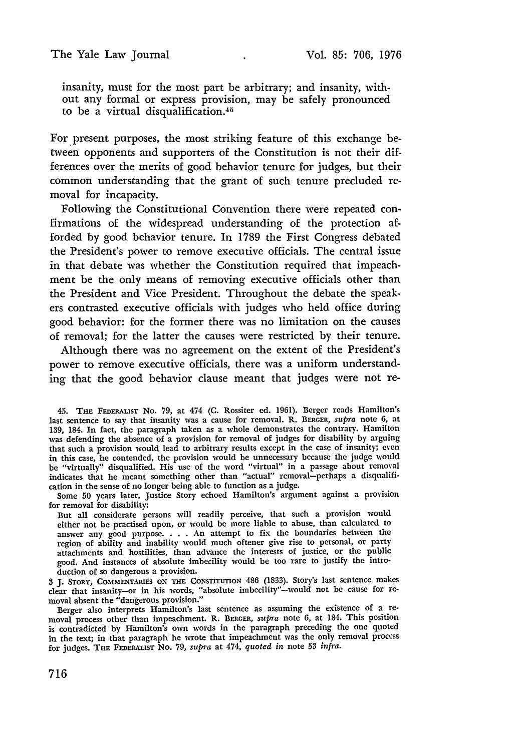insanity, must for the most part be arbitrary; and insanity, without any formal or express provision, may be safely pronounced to be a virtual disqualification.<sup>41</sup>

For present purposes, the most striking feature of this exchange between opponents and supporters of the Constitution is not their differences over the merits of good behavior tenure for judges, but their common understanding that the grant of such tenure precluded removal for incapacity.

Following the Constitutional Convention there were repeated confirmations of the widespread understanding of the protection afforded by good behavior tenure. In 1789 the First Congress debated the President's power to remove executive officials. The central issue in that debate was whether the Constitution required that impeachment be the only means of removing executive officials other than the President and Vice President. Throughout the debate the speakers contrasted executive officials with judges who held office during good behavior: for the former there was no limitation on the causes of removal; for the latter the causes were restricted by their tenure.

Although there was no agreement on the extent of the President's power to remove executive officials, there was a uniform understanding that the good behavior clause meant that judges were not re-

45. TiE **FEDERALIST** No. 79, at 474 (C. Rossiter ed. 1961). Berger reads Hamilton's last sentence to say that insanity was a cause for removal. R. **BERGER,** *supra* note **6,** at 139, 184. In fact, the paragraph taken as a whole demonstrates the contrary. Hamilton was defending the absence of a provision for removal of judges for disability by arguing that such a provision would lead to arbitrary results except in the case of insanity; even in this case, he contended, the provision would be unnecessary because the judge would be "virtually" disqualified. His use of the word "virtual" in a passage about removal indicates that he meant something other than "actual" removal-perhaps a disqualification in the sense of no longer being able to function as a judge.

Some 50 years later, Justice Story echoed Hamilton's argument against a provision for removal for disability:

But all considerate persons will readily perceive, that such a provision would either not be practised upon, or would be more liable to abuse, than calculated to answer any good purpose. . **.** . An attempt to fix the boundaries between the region of ability and inability would much oftener give rise to personal, or party attachments and hostilities, than advance the interests of justice, or the public good. And instances of absolute imbecility would be too rare to justify the introduction of so dangerous a provision.

**3 J.** STORY, **COMMENTARIES ON THE CONSTITUTION** 486 (1833). Story's last sentence makes clear that insanity-or in his words, "absolute imbecility"-would not be cause for removal absent the "dangerous provision."

Berger also interprets Hamilton's last sentence as assuming the existence of a removal process other than impeachment. R. **BERCER,** *supra* note 6, at 184. This position is contradicted by Hamilton's own words in the paragraph preceding the one quoted in the text; in that paragraph he wrote that impeachment was the only removal process for judges. THE **F.DERALIST** No. 79, *supra* at 474, *quoted in* note 53 *infra.*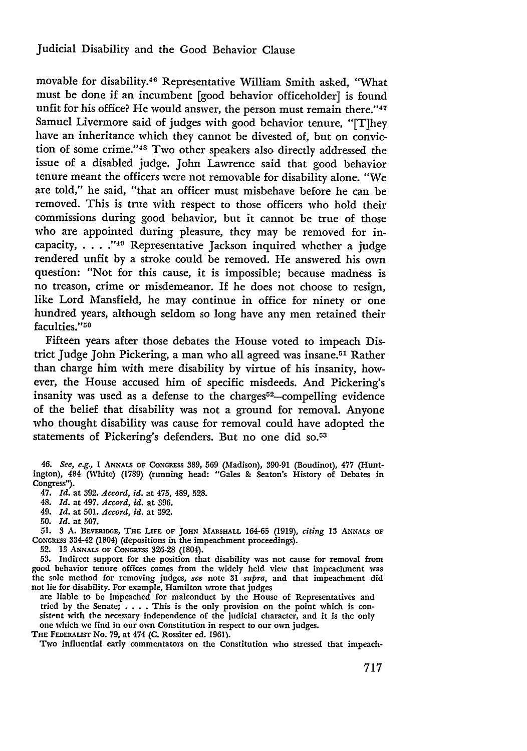# Judicial Disability and the Good Behavior Clause

movable for disability.40 Representative William Smith asked, "What must be done if an incumbent [good behavior officeholder] is found unfit for his office? He would answer, the person must remain there."47 Samuel Livermore said of judges with good behavior tenure, "[T]hey have an inheritance which they cannot be divested of, but on conviction of some crime."48 Two other speakers also directly addressed the issue of a disabled judge. John Lawrence said that good behavior tenure meant the officers were not removable for disability alone. "We are told," he said, "that an officer must misbehave before he can be removed. This is true with respect to those officers who hold their commissions during good behavior, but it cannot be true of those who are appointed during pleasure, they may be removed for incapacity,  $\ldots$ ."<sup>49</sup> Representative Jackson inquired whether a judge rendered unfit by a stroke could be removed. He answered his own question: "Not for this cause, it is impossible; because madness is no treason, crime or misdemeanor. If he does not choose to resign, like Lord Mansfield, he may continue in office for ninety or one hundred years, although seldom so long have any men retained their faculties."<sup>50</sup>

Fifteen years after those debates the House voted to impeach District Judge John Pickering, a man who all agreed was insane.5' Rather than charge him with mere disability by virtue of his insanity, however, the House accused him of specific misdeeds. And Pickering's insanity was used as a defense to the charges<sup>52</sup>-compelling evidence of the belief that disability was not a ground for removal. Anyone who thought disability was cause for removal could have adopted the statements of Pickering's defenders. But no one did so.<sup>53</sup>

*46. See, e.g.,* I **ANNALS** OF **CONGRESS 389, 569** (Madison), 390-91 (Boudinot), **477** (Huntington), 484 (White) (1789) (running head: "Gales & Seaton's History of Debates in Congress').

47. *Id.* at 392. *Accord, id.* at 475, 489, 528.

48. *Id.* at 497. *Accord, id.* at 396.

49. *Id.* at 501. *Accord, id.* at 392.

**50.** *Id.* at 507.

*51.* 3 A. BEvERIDGE, THE LIFE OF **JOHN MARSHALL** 164-65 (1919), *citing* 13 ANNALS OF CONGRESS 334-42 (1804) (depositions in the impeachment proceedings).

**52. 13 ANNALS OF CoNGREss** 326-28 (1804).

**53.** Indirect support for the position that disability was not cause for removal from good behavior tenure offices comes from the widely held view that impeachment was the sole method for removing judges, *see* note 31 *supra,* and that impeachment did

are liable to be impeached for malconduct by the House of Representatives and tried by the Senate; **.. .** . This is the only provision on the point which is consistent with the necessary independence of the judicial character, and it is the only one which we find in our own Constitution in respect to our own judges.

THE **FEDERALUST** No. 79, at 474 (C. Rossiter ed. **1961).**

Two influential early commentators on the Constitution who stressed that impeach-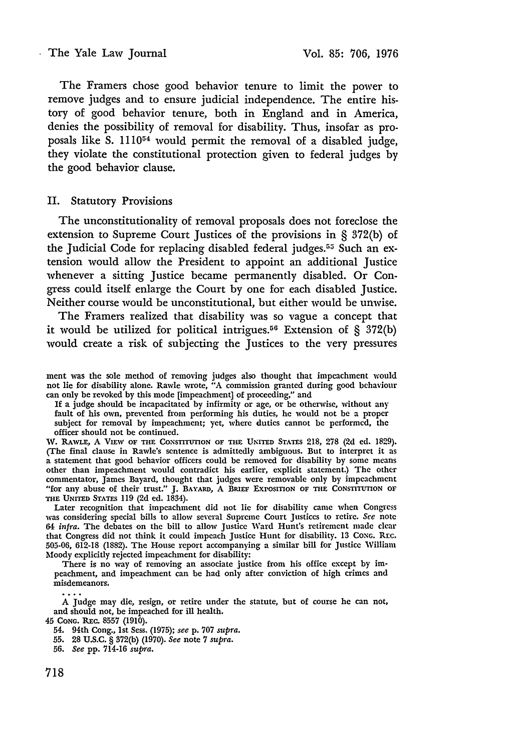## The Yale Law Journal Vol. 85: 706, 1976

The Framers chose good behavior tenure to limit the power to remove judges and to ensure judicial independence. The entire history of good behavior tenure, both in England and in America, denies the possibility of removal for disability. Thus, insofar as proposals like S. 111054 would permit the removal of a disabled judge, they violate the constitutional protection given to federal judges by the good behavior clause.

## **II.** Statutory Provisions

The unconstitutionality of removal proposals does not foreclose the extension to Supreme Court Justices of the provisions in § 372(b) of the Judicial Code for replacing disabled federal judges.<sup>55</sup> Such an extension would allow the President to appoint an additional Justice whenever a sitting Justice became permanently disabled. Or Congress could itself enlarge the Court by one for each disabled Justice. Neither course would be unconstitutional, but either would be unwise.

The Framers realized that disability was so vague a concept that it would be utilized for political intrigues.56 Extension of **§ 372(b)** would create a risk of subjecting the Justices to the very pressures

ment was the sole method of removing judges also thought that impeachment would not lie for disability alone. Rawle wrote, "A commission granted during good behaviour can only be revoked by this mode [impeachment] of proceeding," and

If a judge should be incapacitated by infirmity or age, or be otherwise, without any fault of his own, prevented from performing his duties, he would not be a proper subject for removal by impeachment; yet, where duties cannot be performed, the officer should not be continued.

W. **RAwLE, A** VIEW OF THE **CONSTITUTION** OF THE UNITED STATES **218, 278 (2d ed. 1829).** (The final clause in Rawle's sentence is admittedly ambiguous. But to interpret it as a statement that good behavior officers could be removed for disability by some means other than impeachment would contradict his earlier, explicit statement.) The other commentator, James Bayard, thought that judges were removable only by impeachment "for any abuse of their trust." **J. BAYARD,** A **BRIEF EXPOSITION** OF **THE** CONSTITUTION OF **THE UNITED** STATES **119** (2d ed. 1834).

Later recognition that impeachment did not lie for disability came when Congress was considering special bills to allow several Supreme Court Justices to retire. *See* note *64 infra.* The debates on the bill to allow Justice Ward Hunt's retirement made clear that Congress did not think it could impeach Justice Hunt for disability. 13 **CONG.** REC. 505-06, **612-18** (1882). The House report accompanying a similar bill for Justice William Moody explicitly rejected impeachment for disability:

There is no way of removing an associate justice from his office except by impeachment, and impeachment can be had only after conviction of high crimes and misdemeanors.

A Judge may die, resign, or retire under the statute, but of course he can not, and should not, be impeached for ill health.

45 **CONG.** *Rxc.* 8557 **(1910).**

54. 94th Cong., **1st** Sess. (1975); *see* p. **707** *supra.*

55. 28 U.S.C. § **372(b)** (1970). *See* note **7** *supra.*

<sup>56.</sup> *See* pp. 714-16 *supra.*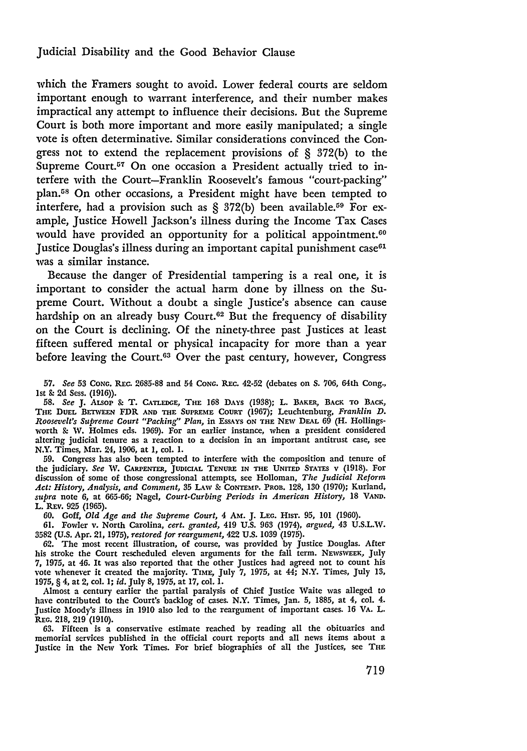## Judicial Disability and the Good Behavior Clause

which the Framers sought to avoid. Lower federal courts are seldom important enough to warrant interference, and their number makes impractical any attempt to influence their decisions. But the Supreme Court is both more important and more easily manipulated; a single vote is often determinative. Similar considerations convinced the Congress not to extend the replacement provisions of § 372(b) to the Supreme Court.<sup>57</sup> On one occasion a President actually tried to interfere with the Court-Franklin Roosevelt's famous "court-packing" plan.<sup>58</sup> On other occasions, a President might have been tempted to interfere, had a provision such as  $\S$  372(b) been available.<sup>59</sup> For example, Justice Howell Jackson's illness during the Income Tax Cases would have provided an opportunity for a political appointment.<sup>60</sup> Justice Douglas's illness during an important capital punishment case<sup>61</sup> was a similar instance.

Because the danger of Presidential tampering is a real one, it is important to consider the actual harm done by illness on the Supreme Court. Without a doubt a single Justice's absence can cause hardship on an already busy Court.<sup>62</sup> But the frequency of disability on the Court is declining. Of the ninety-three past Justices at least fifteen suffered mental or physical incapacity for more than a year before leaving the Court.<sup>63</sup> Over the past century, however, Congress

**57.** *See* **53 CONG.** REc. **2685-88** and 54 **CONG. REc.** 42-52 (debates on **S.** 706, 64th Cong., 1st **& 2d** Sess. (1916)).

**58.** *See* **J.** ALsop & T. **CATLEDGE, THE 168 DAYS** (1938); L. BAKER, **BACK TO** BACK, THE **DUEL BLTWEEN** FDR **AND THE SUPREME COURT (1967);** Leuchtenburg, *Franklin D. Roosevelt's Supreme Court "Packing" Plan,* in EssAYs ON **THE** NEW DEAL **69** (H. Hollingsworth **&** W. Holmes eds. **1969).** For an earlier instance, when a president considered altering judicial tenure as a reaction to a decision in an important antitrust case, see N.Y. Times, Mar. 24, 1906, at 1, col. **1.**

**59.** Congress has also been tempted to interfere with the composition and tenure of the judiciary. *See* **NV. CARPENTER,** JUDICIAL **TENURE IN THE UNITED STATES** v (1918). For discussion of some of those congressional attempts, see Holloman, *The Judicial Reform Act: History, Analysis, and Comment,* **35** LAW **& CONTEMP. PROB. 128, 130** (1970); Kurland, *supra* note **6,** at **665-66;** Nagel, *Court-Curbing Periods in American History,* **18 VAND.** L. REv. 925 **(1965).** 60. Goff, *Old Age and the Supreme Court,* 4 Am. J. **LEG.** HIsT. **95,** 101 (1960).

61. Fowler v. North Carolina, *cert. granted,* 419 U.S. **963** (1974), *argued,* 43 U.S.L.W. **3582** (U.S. Apr. 21, 1975), *restored for reargument,* 422 U.S. 1039 (1975).

**62.** The most recent illustration, of course, was provided by Justice Douglas. After his stroke the Court rescheduled eleven arguments for the fall term. **NEWSWEEK,** July **7,** 1975, at 46. It was also reported that the other Justices had agreed not to count his vote whenever it created the majority. TIME, July **7, 1975,** at *44;* N.Y. Times, July **13,** 1975, § 4, at 2, col. **1;** *id.* July **8,** 1975, at 17, col. 1.

Almost a century earlier the partial paralysis of Chief Justice Waite was alleged to have contributed to **the** Court's backlog of cases. N.Y. Times, Jan. **5, 1885,** at 4, col. 4. Justice Moody's illness in 1910 also led to the reargument of important cases. **16** VA. L. **REG.** 218, 219 (1910).

**63.** Fifteen is a conservative estimate reached by reading all the obituaries and memorial **services** published in the official **court reports** and all news items about a Justice in the **New** York Times. **For** brief biographies of all **the** Justices, see **THE**